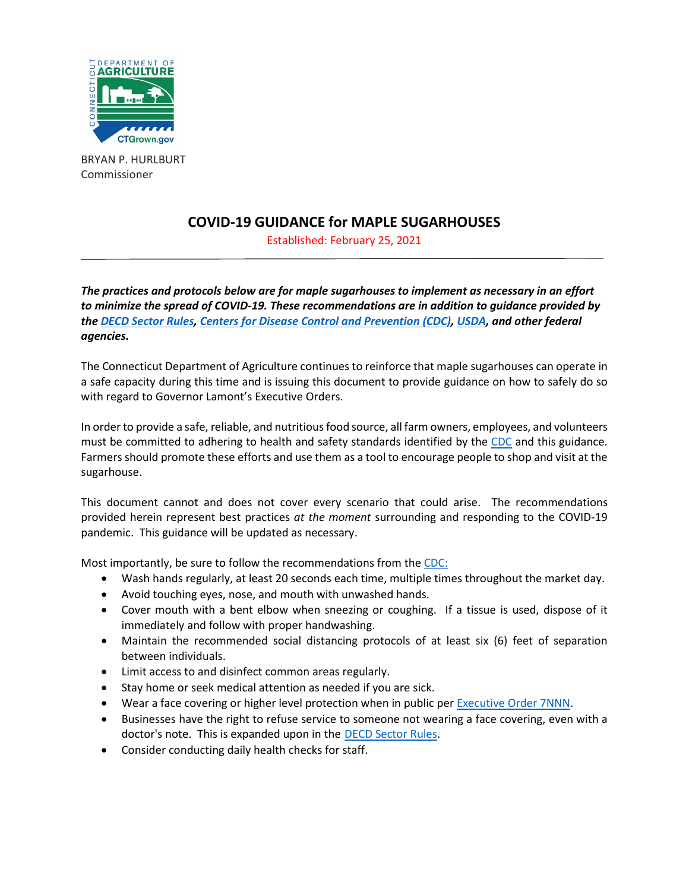

BRYAN P. HURLBURT Commissioner

# **COVID-19 GUIDANCE for MAPLE SUGARHOUSES**

Established: February 25, 2021

*The practices and protocols below are for maple sugarhouses to implement as necessary in an effort to minimize the spread of COVID-19. These recommendations are in addition to guidance provided by the [DECD Sector Rules,](https://portal.ct.gov/DECD/Content/Coronavirus-Business-Recovery/Sector-Rules-and-Certification-for-Reopen) [Centers for Disease Control and Prevention \(CDC\),](https://www.cdc.gov/coronavirus/2019-ncov/index.html) [USDA,](https://www.usda.gov/coronavirus) and other federal agencies.*

The Connecticut Department of Agriculture continues to reinforce that maple sugarhouses can operate in a safe capacity during this time and is issuing this document to provide guidance on how to safely do so with regard to Governor Lamont's Executive Orders.

In order to provide a safe, reliable, and nutritious food source, all farm owners, employees, and volunteers must be committed to adhering to health and safety standards identified by the [CDC](https://www.cdc.gov/coronavirus/2019-ncov/prevent-getting-sick/prevention.html?CDC_AA_refVal=https%3A%2F%2Fwww.cdc.gov%2Fcoronavirus%2F2019-ncov%2Fprepare%2Fprevention.html) and this guidance. Farmers should promote these efforts and use them as a tool to encourage people to shop and visit at the sugarhouse.

This document cannot and does not cover every scenario that could arise. The recommendations provided herein represent best practices *at the moment* surrounding and responding to the COVID-19 pandemic. This guidance will be updated as necessary.

Most importantly, be sure to follow the recommendations from the [CDC:](https://www.cdc.gov/coronavirus/2019-ncov/prevent-getting-sick/prevention.html?CDC_AA_refVal=https%3A%2F%2Fwww.cdc.gov%2Fcoronavirus%2F2019-ncov%2Fprepare%2Fprevention.html)

- Wash hands regularly, at least 20 seconds each time, multiple times throughout the market day.
- Avoid touching eyes, nose, and mouth with unwashed hands.
- Cover mouth with a bent elbow when sneezing or coughing. If a tissue is used, dispose of it immediately and follow with proper handwashing.
- Maintain the recommended social distancing protocols of at least six (6) feet of separation between individuals.
- Limit access to and disinfect common areas regularly.
- Stay home or seek medical attention as needed if you are sick.
- Wear a face covering or higher level protection when in public per [Executive Order 7NNN.](https://portal.ct.gov/-/media/Office-of-the-Governor/Executive-Orders/Lamont-Executive-Orders/Executive-Order-No-7NNN.pdf)
- Businesses have the right to refuse service to someone not wearing a face covering, even with a doctor's note. This is expanded upon in the [DECD Sector Rules.](https://portal.ct.gov/DECD/Content/Coronavirus-Business-Recovery/Sector-Rules-and-Certification-for-Reopen)
- Consider conducting daily health checks for staff.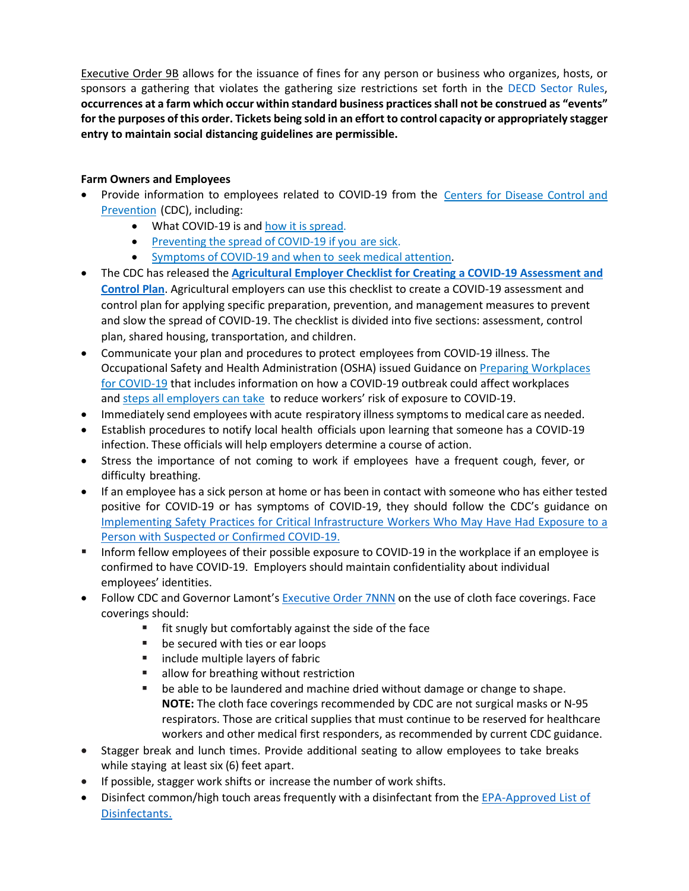[Executive Order 9B](https://portal.ct.gov/-/media/Office-of-the-Governor/Executive-Orders/Lamont-Executive-Orders/Executive-Order-No-9B.pdf) allows for the issuance of fines for any person or business who organizes, hosts, or sponsors a gathering that violates the gathering size restrictions set forth in the [DECD Sector Rules,](https://portal.ct.gov/DECD/Content/Coronavirus-Business-Recovery/Sector-Rules-and-Certification-for-Reopen) **occurrences at a farm which occur within standard business practices shall not be construed as "events" for the purposes of this order. Tickets being sold in an effort to control capacity or appropriately stagger entry to maintain social distancing guidelines are permissible.** 

## **Farm Owners and Employees**

- Provide information to employees related to COVID-19 from the [Centers](https://www.cdc.gov/coronavirus/2019-ncov/index.html) for Disease Control and [Prevention](https://www.cdc.gov/coronavirus/2019-ncov/index.html) (CDC), including:
	- What COVID-19 is and how it is [spread.](https://www.cdc.gov/coronavirus/2019-ncov/prepare/transmission.html)
	- [Preventing](https://www.cdc.gov/coronavirus/2019-ncov/if-you-are-sick/steps-when-sick.html) the spread of COVID-19 if you [are sick.](https://www.cdc.gov/coronavirus/2019-ncov/if-you-are-sick/steps-when-sick.html)
	- [Symptoms](https://www.cdc.gov/coronavirus/2019-ncov/symptoms-testing/symptoms.html) of COVID-19 and when to seek medical [attention.](https://www.cdc.gov/coronavirus/2019-ncov/symptoms-testing/symptoms.html)
- The CDC has released the **[Agricultural Employer Checklist for Creating a COVID-19 Assessment and](https://gcc02.safelinks.protection.outlook.com/?url=https%3A%2F%2Fwww.cdc.gov%2Fcoronavirus%2F2019-ncov%2Fcommunity%2Fpdf%2FAgricultural-Employer-checklist.pdf&data=01%7C01%7CCarole.Briggs%40ct.gov%7Cca23d9f09ab54914201708d80f101a35%7C118b7cfaa3dd48b9b02631ff69bb738b%7C0&sdata=dbQo0elgdip48zCUgWCRqxtBg7c6szxffptad04uras%3D&reserved=0)  [Control Plan](https://gcc02.safelinks.protection.outlook.com/?url=https%3A%2F%2Fwww.cdc.gov%2Fcoronavirus%2F2019-ncov%2Fcommunity%2Fpdf%2FAgricultural-Employer-checklist.pdf&data=01%7C01%7CCarole.Briggs%40ct.gov%7Cca23d9f09ab54914201708d80f101a35%7C118b7cfaa3dd48b9b02631ff69bb738b%7C0&sdata=dbQo0elgdip48zCUgWCRqxtBg7c6szxffptad04uras%3D&reserved=0)**. Agricultural employers can use this checklist to create a COVID-19 assessment and control plan for applying specific preparation, prevention, and management measures to prevent and slow the spread of COVID-19. The checklist is divided into five sections: assessment, control plan, shared housing, transportation, and children.
- Communicate your plan and procedures to protect employees from COVID-19 illness. The Occupational Safety and Health Administration (OSHA) issued Guidance on [Preparing Workplaces](https://www.cisa.gov/sites/default/files/publications/CISA_Guidance_on_the_Essential_Critical_Infrastructure_Workforce_508C.pdf)  [for COVID-19](https://www.cisa.gov/sites/default/files/publications/CISA_Guidance_on_the_Essential_Critical_Infrastructure_Workforce_508C.pdf) that includes information on how a COVID-19 outbreak could affect workplaces and [steps all employers can take](https://www.osha.gov/Publications/OSHA3990.pdf) to reduce workers' risk of exposure to COVID-19.
- Immediately send employees with acute respiratory illness symptoms to medical care as needed.
- Establish procedures to notify local health officials upon learning that someone has a COVID-19 infection. These officials will help employers determine a course of action.
- Stress the importance of not coming to work if employees have a frequent cough, fever, or difficulty breathing.
- If an employee has a sick person at home or has been in contact with someone who has either tested positive for COVID-19 or has symptoms of COVID-19, they should follow the CDC's guidance on [Implementing Safety Practices for Critical Infrastructure Workers Who May Have Had Exposure to a](https://www.cdc.gov/coronavirus/2019-ncov/community/critical-workers/implementing-safety-practices.html)  [Person with Suspected or Confirmed COVID-19.](https://www.cdc.gov/coronavirus/2019-ncov/community/critical-workers/implementing-safety-practices.html)
- **Inform fellow employees of their possible exposure to COVID-19 in the workplace if an employee is** confirmed to have COVID-19. Employers should maintain confidentiality about individual employees' identities.
- Follow CDC and Governor Lamont's **[Executive Order 7NNN](https://portal.ct.gov/-/media/Office-of-the-Governor/Executive-Orders/Lamont-Executive-Orders/Executive-Order-No-7NNN.pdf)** on the use of cloth face coverings. Face coverings should:
	- $\blacksquare$  fit snugly but comfortably against the side of the face
	- **be secured with ties or ear loops**
	- **Example 1** include multiple layers of fabric
	- **allow for breathing without restriction**
	- be able to be laundered and machine dried without damage or change to shape. **NOTE:** The cloth face coverings recommended by CDC are not surgical masks or N-95 respirators. Those are critical supplies that must continue to be reserved for healthcare workers and other medical first responders, as recommended by current CDC guidance.
- Stagger break and lunch times. Provide additional seating to allow employees to take breaks while staying at least six (6) feet apart.
- If possible, stagger work shifts or increase the number of work shifts.
- Disinfect common/high touch areas frequently with a disinfectant from the [EPA-Approved List of](https://www.epa.gov/pesticide-registration/list-n-disinfectants-use-against-sars-cov-2)  [Disinfectants.](https://www.epa.gov/pesticide-registration/list-n-disinfectants-use-against-sars-cov-2)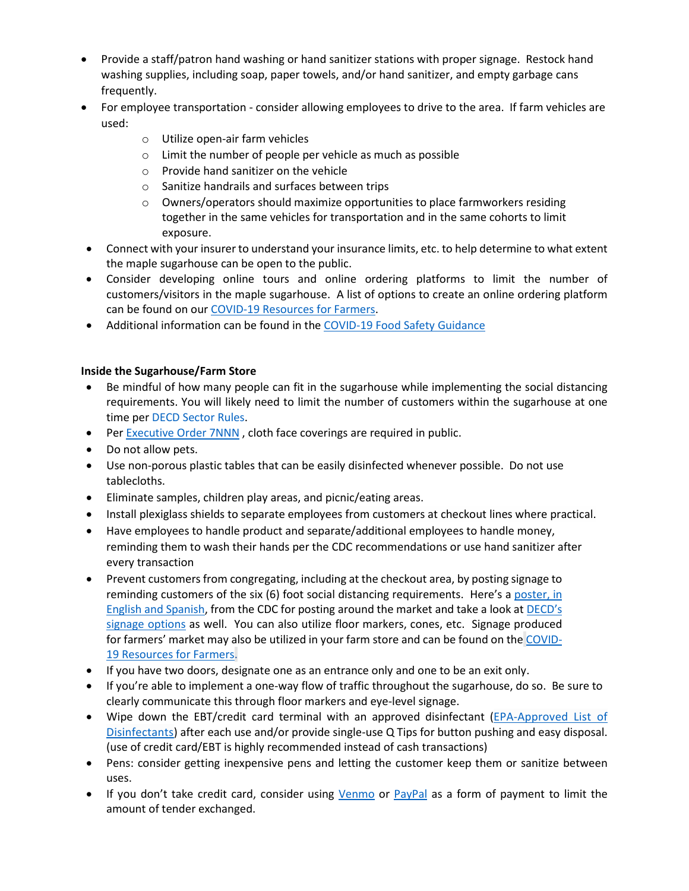- Provide a staff/patron hand washing or hand sanitizer stations with proper signage. Restock hand washing supplies, including soap, paper towels, and/or hand sanitizer, and empty garbage cans frequently.
- For employee transportation consider allowing employees to drive to the area. If farm vehicles are used:
	- o Utilize open-air farm vehicles
	- o Limit the number of people per vehicle as much as possible
	- o Provide hand sanitizer on the vehicle
	- o Sanitize handrails and surfaces between trips
	- o Owners/operators should maximize opportunities to place farmworkers residing together in the same vehicles for transportation and in the same cohorts to limit exposure.
- Connect with your insurer to understand your insurance limits, etc. to help determine to what extent the maple sugarhouse can be open to the public.
- Consider developing online tours and online ordering platforms to limit the number of customers/visitors in the maple sugarhouse. A list of options to create an online ordering platform can be found on ou[r COVID-19 Resources for Farmers.](https://portal.ct.gov/DOAG/Commissioner/Commissioner/COVID-19-Resources-for-Farmers)
- Additional information can be found in the [COVID-19 Food Safety Guidance](https://portal.ct.gov/DOAG/Commissioner/Commissioner/COVID-19-Resources-for-Farmers#Food%20Safety)

### **Inside the Sugarhouse/Farm Store**

- Be mindful of how many people can fit in the sugarhouse while implementing the social distancing requirements. You will likely need to limit the number of customers within the sugarhouse at one time per [DECD Sector Rules.](https://portal.ct.gov/DECD/Content/Coronavirus-Business-Recovery/Sector-Rules-and-Certification-for-Reopen)
- Per [Executive Order 7NNN](https://portal.ct.gov/-/media/Office-of-the-Governor/Executive-Orders/Lamont-Executive-Orders/Executive-Order-No-7NNN.pdf), cloth face coverings are required in public.
- Do not allow pets.
- Use non-porous plastic tables that can be easily disinfected whenever possible. Do not use tablecloths.
- Eliminate samples, children play areas, and picnic/eating areas.
- Install plexiglass shields to separate employees from customers at checkout lines where practical.
- Have employees to handle product and separate/additional employees to handle money, reminding them to wash their hands per the CDC recommendations or use hand sanitizer after every transaction
- Prevent customers from congregating, including at the checkout area, by posting signage to reminding customers of the six (6) foot social distancing requirements. Here's a poster, in [English and Spanish,](https://portal.ct.gov/DOAG/Commissioner/Commissioner/COVID-19-Resources-for-Farmers) from the CDC for posting around the market and take a look at [DECD's](https://portal.ct.gov/DECD/Content/Coronavirus-Business-Recovery/COVID-19-Signage-for-Download)  [signage options](https://portal.ct.gov/DECD/Content/Coronavirus-Business-Recovery/COVID-19-Signage-for-Download) as well. You can also utilize floor markers, cones, etc. Signage produced for farmers' market may also be utilized in your farm store and can be found on the [COVID-](https://portal.ct.gov/DOAG/Commissioner/Commissioner/COVID-19-Resources-for-Farmers)[19 Resources for Farmers.](https://portal.ct.gov/DOAG/Commissioner/Commissioner/COVID-19-Resources-for-Farmers)
- If you have two doors, designate one as an entrance only and one to be an exit only.
- If you're able to implement a one-way flow of traffic throughout the sugarhouse, do so. Be sure to clearly communicate this through floor markers and eye-level signage.
- Wipe down the EBT/credit card terminal with an approved disinfectant [\(EPA-Approved List of](https://www.epa.gov/pesticide-registration/list-n-disinfectants-use-against-sars-cov-2)  [Disinfectants\)](https://www.epa.gov/pesticide-registration/list-n-disinfectants-use-against-sars-cov-2) after each use and/or provide single-use Q Tips for button pushing and easy disposal. (use of credit card/EBT is highly recommended instead of cash transactions)
- Pens: consider getting inexpensive pens and letting the customer keep them or sanitize between uses.
- If you don't take credit card, consider using [Venmo](https://venmo.com/?gclsrc=aw.ds&) or [PayPal](https://www.paypal.com/us/home) as a form of payment to limit the amount of tender exchanged.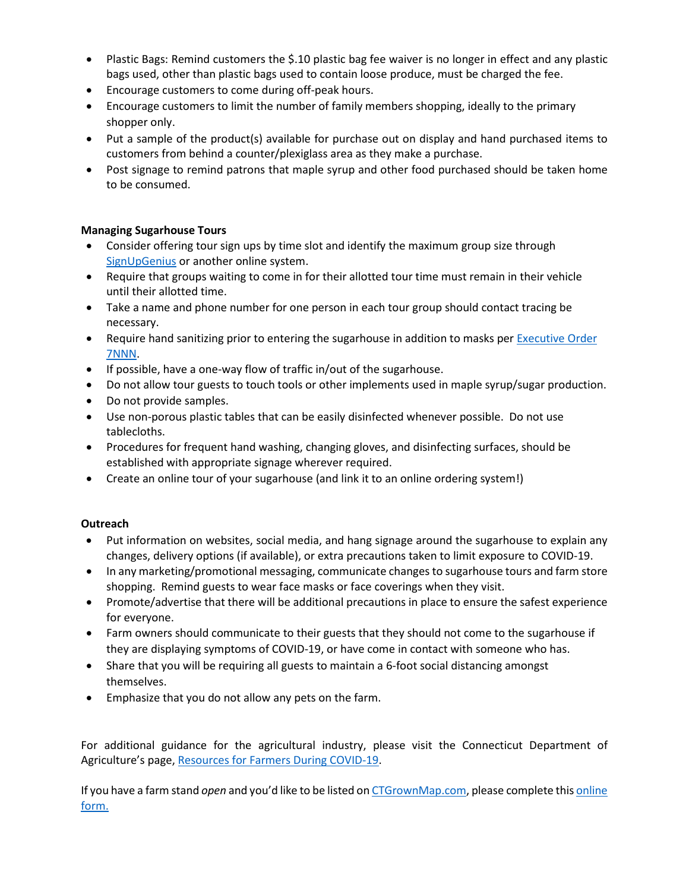- Plastic Bags: Remind customers the \$.10 plastic bag fee waiver is no longer in effect and any plastic bags used, other than plastic bags used to contain loose produce, must be charged the fee.
- Encourage customers to come during off-peak hours.
- Encourage customers to limit the number of family members shopping, ideally to the primary shopper only.
- Put a sample of the product(s) available for purchase out on display and hand purchased items to customers from behind a counter/plexiglass area as they make a purchase.
- Post signage to remind patrons that maple syrup and other food purchased should be taken home to be consumed.

#### **Managing Sugarhouse Tours**

- Consider offering tour sign ups by time slot and identify the maximum group size through [SignUpGenius](https://www.signupgenius.com/) or another online system.
- Require that groups waiting to come in for their allotted tour time must remain in their vehicle until their allotted time.
- Take a name and phone number for one person in each tour group should contact tracing be necessary.
- Require hand sanitizing prior to entering the sugarhouse in addition to masks per Executive Order [7NNN.](https://portal.ct.gov/-/media/Office-of-the-Governor/Executive-Orders/Lamont-Executive-Orders/Executive-Order-No-7NNN.pdf)
- If possible, have a one-way flow of traffic in/out of the sugarhouse.
- Do not allow tour guests to touch tools or other implements used in maple syrup/sugar production.
- Do not provide samples.
- Use non-porous plastic tables that can be easily disinfected whenever possible. Do not use tablecloths.
- Procedures for frequent hand washing, changing gloves, and disinfecting surfaces, should be established with appropriate signage wherever required.
- Create an online tour of your sugarhouse (and link it to an online ordering system!)

#### **Outreach**

- Put information on websites, social media, and hang signage around the sugarhouse to explain any changes, delivery options (if available), or extra precautions taken to limit exposure to COVID-19.
- In any marketing/promotional messaging, communicate changes to sugarhouse tours and farm store shopping. Remind guests to wear face masks or face coverings when they visit.
- Promote/advertise that there will be additional precautions in place to ensure the safest experience for everyone.
- Farm owners should communicate to their guests that they should not come to the sugarhouse if they are displaying symptoms of COVID-19, or have come in contact with someone who has.
- Share that you will be requiring all guests to maintain a 6-foot social distancing amongst themselves.
- Emphasize that you do not allow any pets on the farm.

For additional guidance for the agricultural industry, please visit the Connecticut Department of Agriculture's page, [Resources for Farmers During COVID-19.](https://portal.ct.gov/DOAG/Commissioner/Commissioner/COVID-19-Resources-for-Farmers)

If you have a farm stand *open* and you'd like to be listed o[n CTGrownMap.com,](https://guide.ctnofa.org/) please complete thi[s online](https://docs.google.com/forms/d/e/1FAIpQLSeCam6Vwsl6nCEezSfjRaAr8_PrkXicqOh-k_AIZeB350C3Pw/viewform)  [form.](https://docs.google.com/forms/d/e/1FAIpQLSeCam6Vwsl6nCEezSfjRaAr8_PrkXicqOh-k_AIZeB350C3Pw/viewform)